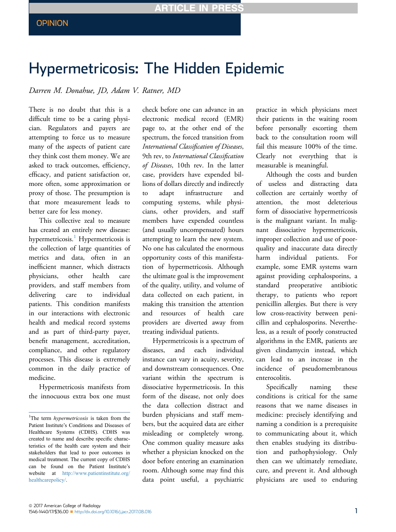## Hypermetricosis: The Hidden Epidemic

Darren M. Donahue, JD, Adam V. Ratner, MD

There is no doubt that this is a difficult time to be a caring physician. Regulators and payers are attempting to force us to measure many of the aspects of patient care they think cost them money. We are asked to track outcomes, efficiency, efficacy, and patient satisfaction or, more often, some approximation or proxy of those. The presumption is that more measurement leads to better care for less money.

This collective zeal to measure has created an entirely new disease: hypermetricosis.<sup>1</sup> Hypermetricosis is the collection of large quantities of metrics and data, often in an inefficient manner, which distracts physicians, other health care providers, and staff members from delivering care to individual patients. This condition manifests in our interactions with electronic health and medical record systems and as part of third-party payer, benefit management, accreditation, compliance, and other regulatory processes. This disease is extremely common in the daily practice of medicine.

Hypermetricosis manifests from the innocuous extra box one must

check before one can advance in an electronic medical record (EMR) page to, at the other end of the spectrum, the forced transition from International Classification of Diseases, 9th rev, to International Classification of Diseases, 10th rev. In the latter case, providers have expended billions of dollars directly and indirectly to adapt infrastructure and computing systems, while physicians, other providers, and staff members have expended countless (and usually uncompensated) hours attempting to learn the new system. No one has calculated the enormous opportunity costs of this manifestation of hypermetricosis. Although the ultimate goal is the improvement of the quality, utility, and volume of data collected on each patient, in making this transition the attention and resources of health care providers are diverted away from treating individual patients.

Hypermetricosis is a spectrum of diseases, and each individual instance can vary in acuity, severity, and downstream consequences. One variant within the spectrum is dissociative hypermetricosis. In this form of the disease, not only does the data collection distract and burden physicians and staff members, but the acquired data are either misleading or completely wrong. One common quality measure asks whether a physician knocked on the door before entering an examination room. Although some may find this data point useful, a psychiatric

practice in which physicians meet their patients in the waiting room before personally escorting them back to the consultation room will fail this measure 100% of the time. Clearly not everything that is measurable is meaningful.

Although the costs and burden of useless and distracting data collection are certainly worthy of attention, the most deleterious form of dissociative hypermetricosis is the malignant variant. In malignant dissociative hypermetricosis, improper collection and use of poorquality and inaccurate data directly harm individual patients. For example, some EMR systems warn against providing cephalosporins, a standard preoperative antibiotic therapy, to patients who report penicillin allergies. But there is very low cross-reactivity between penicillin and cephalosporins. Nevertheless, as a result of poorly constructed algorithms in the EMR, patients are given clindamycin instead, which can lead to an increase in the incidence of pseudomembranous enterocolitis.

Specifically naming these conditions is critical for the same reasons that we name diseases in medicine: precisely identifying and naming a condition is a prerequisite to communicating about it, which then enables studying its distribution and pathophysiology. Only then can we ultimately remediate, cure, and prevent it. And although physicians are used to enduring

<sup>&</sup>lt;sup>1</sup>The term *hypermetricosis* is taken from the Patient Institute's Conditions and Diseases of Healthcare Systems (CDHS). CDHS was created to name and describe specific characteristics of the health care system and their stakeholders that lead to poor outcomes in medical treatment. The current copy of CDHS can be found on the Patient Institute's website at [http://www.patientinstitute.org/](http://www.patientinstitute.org/healthcarepolicy/) [healthcarepolicy/.](http://www.patientinstitute.org/healthcarepolicy/)